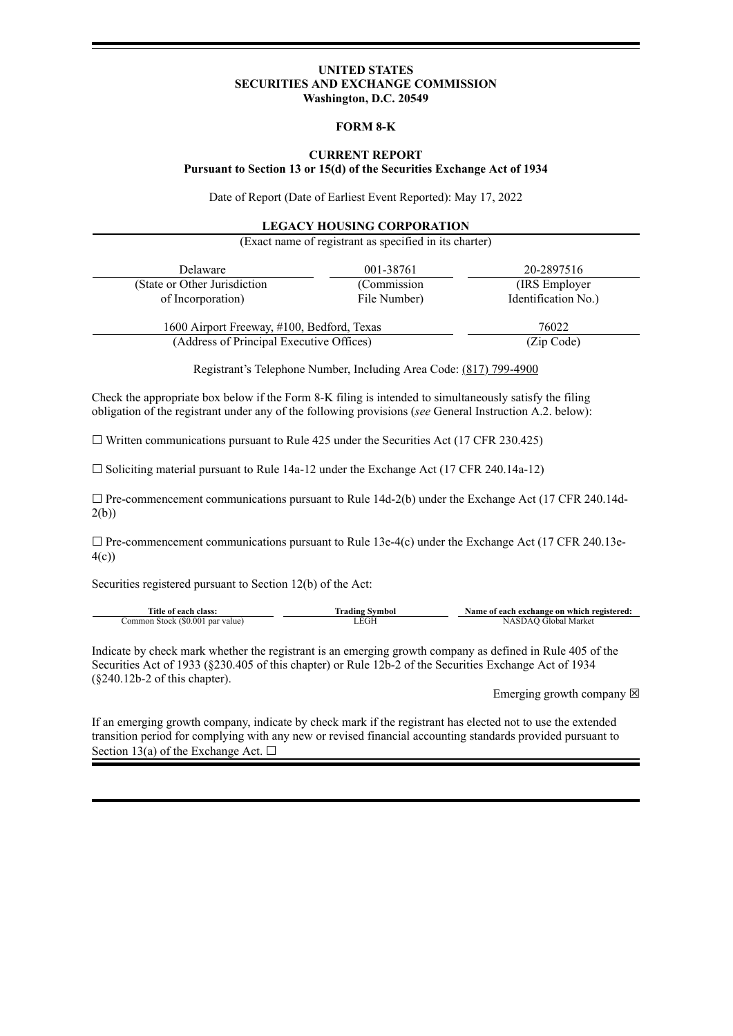### **UNITED STATES SECURITIES AND EXCHANGE COMMISSION Washington, D.C. 20549**

#### **FORM 8-K**

## **CURRENT REPORT Pursuant to Section 13 or 15(d) of the Securities Exchange Act of 1934**

Date of Report (Date of Earliest Event Reported): May 17, 2022

#### **LEGACY HOUSING CORPORATION**

(Exact name of registrant as specified in its charter)

| Delaware                                   | 001-38761    | 20-2897516          |
|--------------------------------------------|--------------|---------------------|
| (State or Other Jurisdiction)              | (Commission) | (IRS Employer)      |
| of Incorporation)                          | File Number) | Identification No.) |
| 1600 Airport Freeway, #100, Bedford, Texas |              | 76022               |
| (Address of Principal Executive Offices)   |              | (Zip Code)          |

Registrant's Telephone Number, Including Area Code: (817) 799-4900

Check the appropriate box below if the Form 8-K filing is intended to simultaneously satisfy the filing obligation of the registrant under any of the following provisions (*see* General Instruction A.2. below):

 $\Box$  Written communications pursuant to Rule 425 under the Securities Act (17 CFR 230.425)

☐ Soliciting material pursuant to Rule 14a-12 under the Exchange Act (17 CFR 240.14a-12)

□ Pre-commencement communications pursuant to Rule 14d-2(b) under the Exchange Act (17 CFR 240.14d-2(b))

 $\Box$  Pre-commencement communications pursuant to Rule 13e-4(c) under the Exchange Act (17 CFR 240.13e-4(c))

Securities registered pursuant to Section 12(b) of the Act:

| Title of each class:             | Trading Svmbol | Name of each exchange on which registered: |
|----------------------------------|----------------|--------------------------------------------|
| Common Stock (\$0.001 par value) | LEGH           | NASDAO Global Market                       |

Indicate by check mark whether the registrant is an emerging growth company as defined in Rule 405 of the Securities Act of 1933 (§230.405 of this chapter) or Rule 12b-2 of the Securities Exchange Act of 1934 (§240.12b-2 of this chapter).

Emerging growth company  $\boxtimes$ 

If an emerging growth company, indicate by check mark if the registrant has elected not to use the extended transition period for complying with any new or revised financial accounting standards provided pursuant to Section 13(a) of the Exchange Act.  $\Box$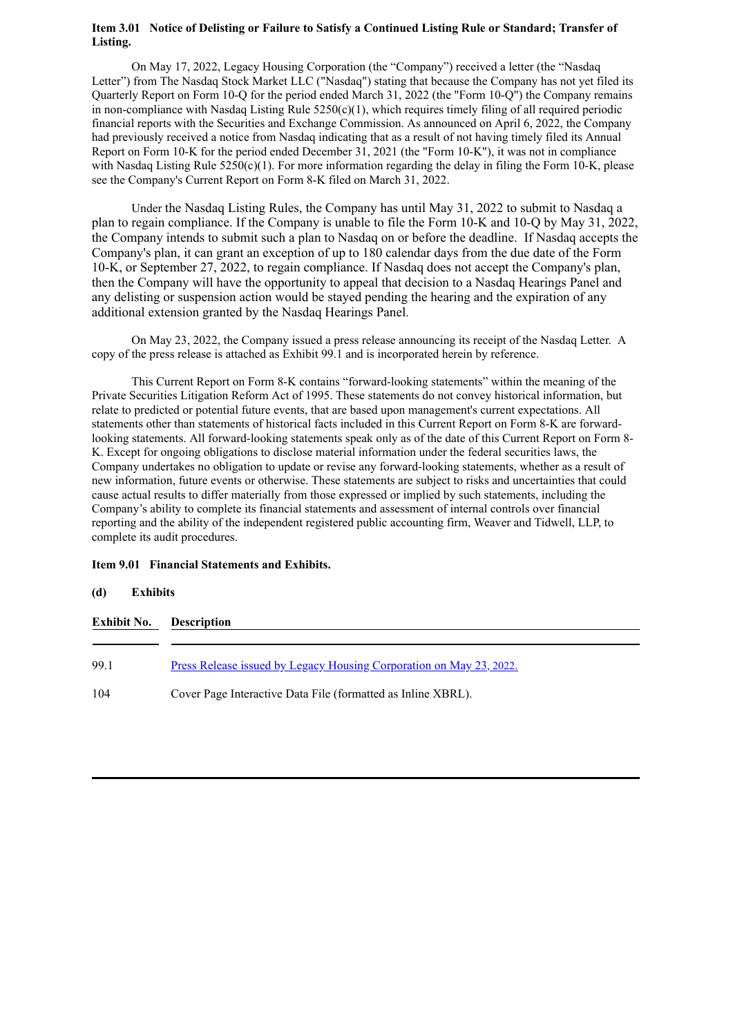## **Item 3.01 Notice of Delisting or Failure to Satisfy a Continued Listing Rule or Standard; Transfer of Listing.**

On May 17, 2022, Legacy Housing Corporation (the "Company") received a letter (the "Nasdaq Letter") from The Nasdaq Stock Market LLC ("Nasdaq") stating that because the Company has not yet filed its Quarterly Report on Form 10-Q for the period ended March 31, 2022 (the "Form 10-Q") the Company remains in non-compliance with Nasdaq Listing Rule  $5250(c)(1)$ , which requires timely filing of all required periodic financial reports with the Securities and Exchange Commission. As announced on April 6, 2022, the Company had previously received a notice from Nasdaq indicating that as a result of not having timely filed its Annual Report on Form 10-K for the period ended December 31, 2021 (the "Form 10-K"), it was not in compliance with Nasdaq Listing Rule 5250(c)(1). For more information regarding the delay in filing the Form 10-K, please see the Company's Current Report on Form 8-K filed on March 31, 2022.

Under the Nasdaq Listing Rules, the Company has until May 31, 2022 to submit to Nasdaq a plan to regain compliance. If the Company is unable to file the Form 10-K and 10-Q by May 31, 2022, the Company intends to submit such a plan to Nasdaq on or before the deadline. If Nasdaq accepts the Company's plan, it can grant an exception of up to 180 calendar days from the due date of the Form 10-K, or September 27, 2022, to regain compliance. If Nasdaq does not accept the Company's plan, then the Company will have the opportunity to appeal that decision to a Nasdaq Hearings Panel and any delisting or suspension action would be stayed pending the hearing and the expiration of any additional extension granted by the Nasdaq Hearings Panel.

On May 23, 2022, the Company issued a press release announcing its receipt of the Nasdaq Letter. A copy of the press release is attached as Exhibit 99.1 and is incorporated herein by reference.

This Current Report on Form 8-K contains "forward-looking statements" within the meaning of the Private Securities Litigation Reform Act of 1995. These statements do not convey historical information, but relate to predicted or potential future events, that are based upon management's current expectations. All statements other than statements of historical facts included in this Current Report on Form 8-K are forwardlooking statements. All forward-looking statements speak only as of the date of this Current Report on Form 8- K. Except for ongoing obligations to disclose material information under the federal securities laws, the Company undertakes no obligation to update or revise any forward-looking statements, whether as a result of new information, future events or otherwise. These statements are subject to risks and uncertainties that could cause actual results to differ materially from those expressed or implied by such statements, including the Company's ability to complete its financial statements and assessment of internal controls over financial reporting and the ability of the independent registered public accounting firm, Weaver and Tidwell, LLP, to complete its audit procedures.

## **Item 9.01 Financial Statements and Exhibits.**

#### **(d) Exhibits**

| <b>Exhibit No.</b> | <b>Description</b>                                                         |  |  |
|--------------------|----------------------------------------------------------------------------|--|--|
|                    |                                                                            |  |  |
| 99.1               | <u>Press Release issued by Legacy Housing Corporation on May 23, 2022.</u> |  |  |
| 104                | Cover Page Interactive Data File (formatted as Inline XBRL).               |  |  |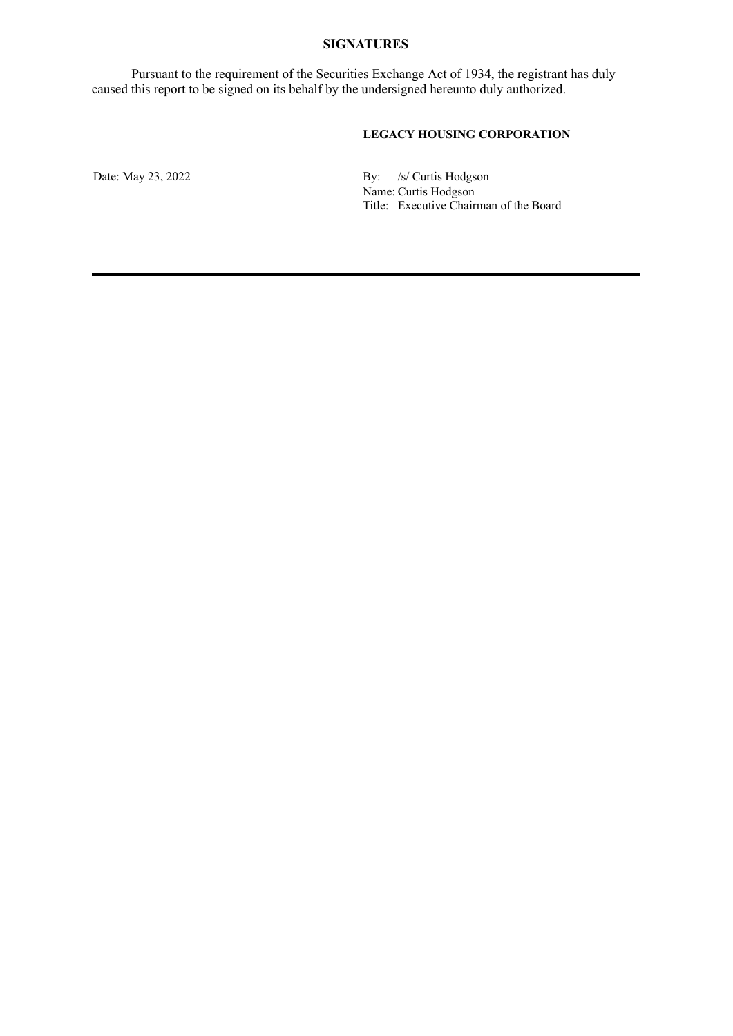## **SIGNATURES**

Pursuant to the requirement of the Securities Exchange Act of 1934, the registrant has duly caused this report to be signed on its behalf by the undersigned hereunto duly authorized.

# **LEGACY HOUSING CORPORATION**

Date: May 23, 2022 By: /s/ Curtis Hodgson Name: Curtis Hodgson Title: Executive Chairman of the Board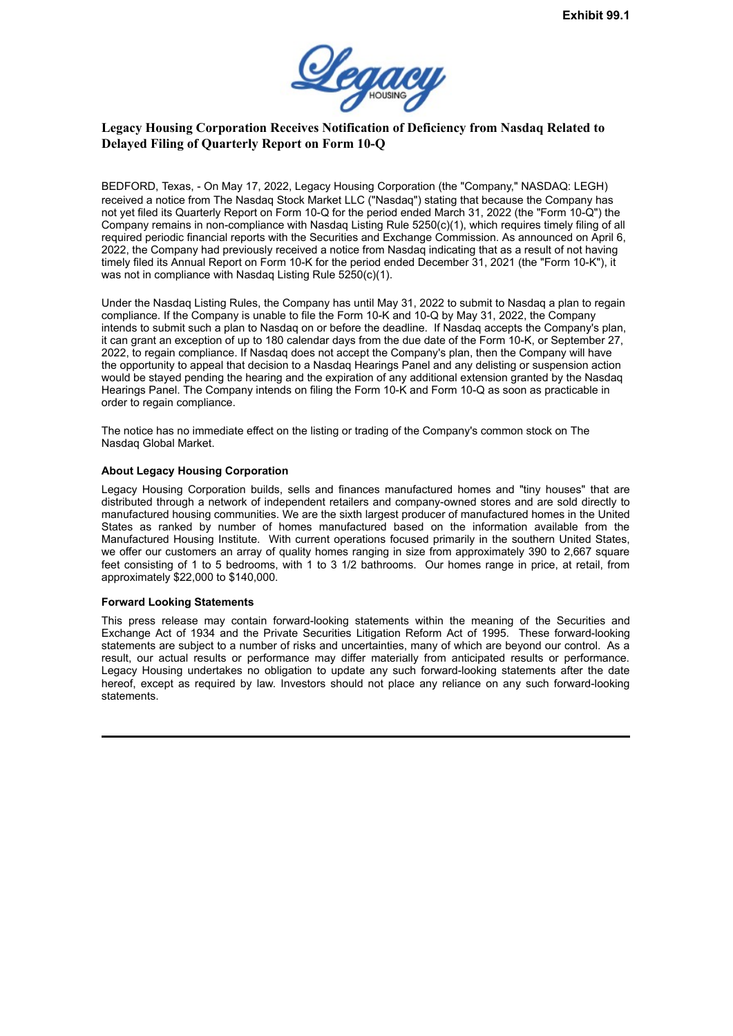

# <span id="page-3-0"></span>**Legacy Housing Corporation Receives Notification of Deficiency from Nasdaq Related to Delayed Filing of Quarterly Report on Form 10-Q**

BEDFORD, Texas, - On May 17, 2022, Legacy Housing Corporation (the "Company," NASDAQ: LEGH) received a notice from The Nasdaq Stock Market LLC ("Nasdaq") stating that because the Company has not yet filed its Quarterly Report on Form 10-Q for the period ended March 31, 2022 (the "Form 10-Q") the Company remains in non-compliance with Nasdaq Listing Rule 5250(c)(1), which requires timely filing of all required periodic financial reports with the Securities and Exchange Commission. As announced on April 6, 2022, the Company had previously received a notice from Nasdaq indicating that as a result of not having timely filed its Annual Report on Form 10-K for the period ended December 31, 2021 (the "Form 10-K"), it was not in compliance with Nasdaq Listing Rule 5250(c)(1).

Under the Nasdaq Listing Rules, the Company has until May 31, 2022 to submit to Nasdaq a plan to regain compliance. If the Company is unable to file the Form 10-K and 10-Q by May 31, 2022, the Company intends to submit such a plan to Nasdaq on or before the deadline. If Nasdaq accepts the Company's plan, it can grant an exception of up to 180 calendar days from the due date of the Form 10-K, or September 27, 2022, to regain compliance. If Nasdaq does not accept the Company's plan, then the Company will have the opportunity to appeal that decision to a Nasdaq Hearings Panel and any delisting or suspension action would be stayed pending the hearing and the expiration of any additional extension granted by the Nasdaq Hearings Panel. The Company intends on filing the Form 10-K and Form 10-Q as soon as practicable in order to regain compliance.

The notice has no immediate effect on the listing or trading of the Company's common stock on The Nasdaq Global Market.

### **About Legacy Housing Corporation**

Legacy Housing Corporation builds, sells and finances manufactured homes and "tiny houses" that are distributed through a network of independent retailers and company-owned stores and are sold directly to manufactured housing communities. We are the sixth largest producer of manufactured homes in the United States as ranked by number of homes manufactured based on the information available from the Manufactured Housing Institute. With current operations focused primarily in the southern United States, we offer our customers an array of quality homes ranging in size from approximately 390 to 2,667 square feet consisting of 1 to 5 bedrooms, with 1 to 3 1/2 bathrooms. Our homes range in price, at retail, from approximately \$22,000 to \$140,000.

#### **Forward Looking Statements**

This press release may contain forward-looking statements within the meaning of the Securities and Exchange Act of 1934 and the Private Securities Litigation Reform Act of 1995. These forward-looking statements are subject to a number of risks and uncertainties, many of which are beyond our control. As a result, our actual results or performance may differ materially from anticipated results or performance. Legacy Housing undertakes no obligation to update any such forward-looking statements after the date hereof, except as required by law. Investors should not place any reliance on any such forward-looking statements.